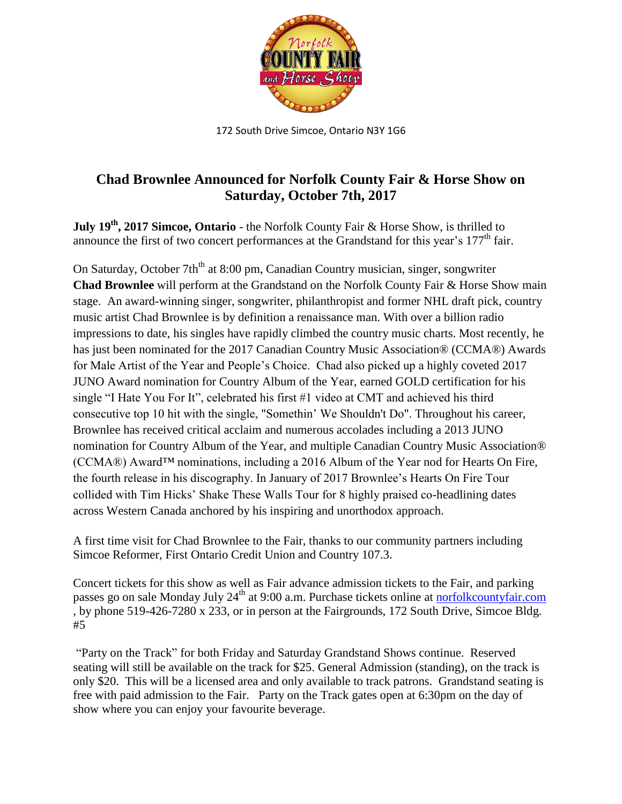

172 South Drive Simcoe, Ontario N3Y 1G6

## **Chad Brownlee Announced for Norfolk County Fair & Horse Show on Saturday, October 7th, 2017**

**July 19 th , 2017 Simcoe, Ontario** - the Norfolk County Fair & Horse Show, is thrilled to announce the first of two concert performances at the Grandstand for this year's 177<sup>th</sup> fair.

On Saturday, October 7th<sup>th</sup> at 8:00 pm, Canadian Country musician, singer, songwriter **Chad Brownlee** will perform at the Grandstand on the Norfolk County Fair & Horse Show main stage. An award-winning singer, songwriter, philanthropist and former NHL draft pick, country music artist Chad Brownlee is by definition a renaissance man. With over a billion radio impressions to date, his singles have rapidly climbed the country music charts. Most recently, he has just been nominated for the 2017 Canadian Country Music Association® (CCMA®) Awards for Male Artist of the Year and People's Choice. Chad also picked up a highly coveted 2017 JUNO Award nomination for Country Album of the Year, earned GOLD certification for his single "I Hate You For It", celebrated his first #1 video at CMT and achieved his third consecutive top 10 hit with the single, "Somethin' We Shouldn't Do". Throughout his career, Brownlee has received critical acclaim and numerous accolades including a 2013 JUNO nomination for Country Album of the Year, and multiple Canadian Country Music Association® (CCMA®) Award™ nominations, including a 2016 Album of the Year nod for Hearts On Fire, the fourth release in his discography. In January of 2017 Brownlee's Hearts On Fire Tour collided with Tim Hicks' Shake These Walls Tour for 8 highly praised co-headlining dates across Western Canada anchored by his inspiring and unorthodox approach.

A first time visit for Chad Brownlee to the Fair, thanks to our community partners including Simcoe Reformer, First Ontario Credit Union and Country 107.3.

Concert tickets for this show as well as Fair advance admission tickets to the Fair, and parking passes go on sale Monday July  $24<sup>th</sup>$  at 9:00 a.m. Purchase tickets online at [norfolkcountyfair.com](http://www.norfolkcountyfair.com/) , by phone 519-426-7280 x 233, or in person at the Fairgrounds, 172 South Drive, Simcoe Bldg. #5

"Party on the Track" for both Friday and Saturday Grandstand Shows continue. Reserved seating will still be available on the track for \$25. General Admission (standing), on the track is only \$20. This will be a licensed area and only available to track patrons. Grandstand seating is free with paid admission to the Fair. Party on the Track gates open at 6:30pm on the day of show where you can enjoy your favourite beverage.